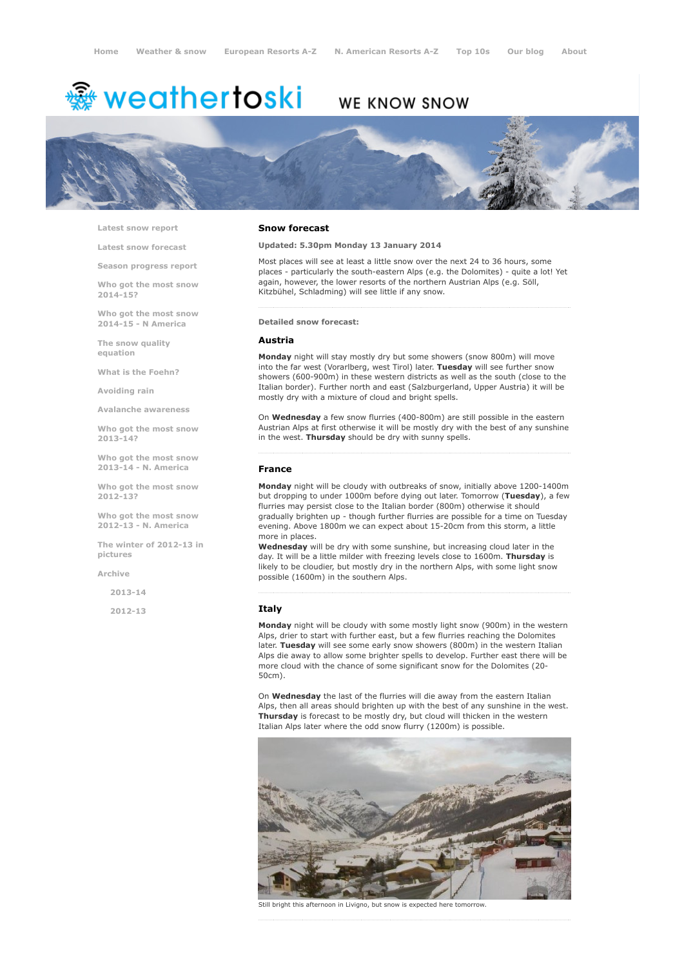# <del>鑾</del> weathertoski

## WE KNOW SNOW



Latest snow [report](http://www.weathertoski.co.uk/weather-snow/latest-snow-report/)

Latest snow [forecast](http://www.weathertoski.co.uk/weather-snow/latest-snow-forecast/)

Season [progress](http://www.weathertoski.co.uk/weather-snow/season-progress-report/) report

Who got the most snow 2014-15?

Who got the most snow 2014-15 - N America

The snow quality [equation](http://www.weathertoski.co.uk/weather-snow/the-snow-quality-equation/)

What is the [Foehn?](http://www.weathertoski.co.uk/weather-snow/what-is-the-foehn/)

[Avoiding](http://www.weathertoski.co.uk/weather-snow/avoiding-rain/) rain

Avalanche [awareness](http://www.weathertoski.co.uk/weather-snow/avalanche-awareness/)

Who got the most snow 2013-14?

Who got the most snow 2013-14 - N. America

Who got the most snow 2012-13?

Who got the most snow 2012-13 - N. America

The winter of 2012-13 in pictures

[Archive](http://www.weathertoski.co.uk/weather-snow/archive/)

2013-14

2012-13

#### Snow forecast

#### Updated: 5.30pm Monday 13 January 2014

Most places will see at least a little snow over the next 24 to 36 hours, some places - particularly the south-eastern Alps (e.g. the Dolomites) - quite a lot! Yet again, however, the lower resorts of the northern Austrian Alps (e.g. Söll, Kitzbühel, Schladming) will see little if any snow.

#### Detailed snow forecast:

#### Austria

Monday night will stay mostly dry but some showers (snow 800m) will move into the far west (Vorarlberg, west Tirol) later. Tuesday will see further snow showers (600-900m) in these western districts as well as the south (close to the Italian border). Further north and east (Salzburgerland, Upper Austria) it will be mostly dry with a mixture of cloud and bright spells.

On Wednesday a few snow flurries (400-800m) are still possible in the eastern Austrian Alps at first otherwise it will be mostly dry with the best of any sunshine in the west. Thursday should be dry with sunny spells.

#### France

Monday night will be cloudy with outbreaks of snow, initially above 1200-1400m but dropping to under 1000m before dying out later. Tomorrow (Tuesday), a few flurries may persist close to the Italian border (800m) otherwise it should gradually brighten up - though further flurries are possible for a time on Tuesday evening. Above 1800m we can expect about 15-20cm from this storm, a little more in places.

Wednesday will be dry with some sunshine, but increasing cloud later in the day. It will be a little milder with freezing levels close to 1600m. Thursday is likely to be cloudier, but mostly dry in the northern Alps, with some light snow possible (1600m) in the southern Alps.

#### **Italy**

Monday night will be cloudy with some mostly light snow (900m) in the western Alps, drier to start with further east, but a few flurries reaching the Dolomites later. Tuesday will see some early snow showers (800m) in the western Italian Alps die away to allow some brighter spells to develop. Further east there will be more cloud with the chance of some significant snow for the Dolomites (20 50cm).

On Wednesday the last of the flurries will die away from the eastern Italian Alps, then all areas should brighten up with the best of any sunshine in the west. Thursday is forecast to be mostly dry, but cloud will thicken in the western Italian Alps later where the odd snow flurry (1200m) is possible.



Still bright this afternoon in Livigno, but snow is expected here tomorrow.